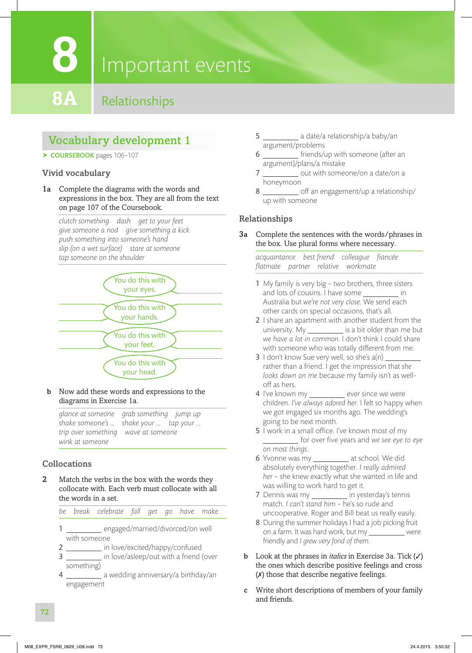## **8**

## Important events

### **8A** Relationships

#### Vocabulary development 1

▶ COURSEBOOK pages 106-107

#### Vivid vocabulary

1a Complete the diagrams with the words and expressions in the box. They are all from the text on page 107 of the Coursebook.

*clutch something dash get to your feet give someone a nod give something a kick push something into someone's hand slip (on a wet surface) stare at someone tap someone on the shoulder*



b Now add these words and expressions to the diagrams in Exercise 1a.

*glance at someone grab something jump up shake someone's … shake your ... tap your ... trip over something wave at someone wink at someone*

#### Collocations

2 Match the verbs in the box with the words they collocate with. Each verb must collocate with all the words in a set.

|  |  | be break celebrate fall get go have make |  |  |  |  |  |
|--|--|------------------------------------------|--|--|--|--|--|
|--|--|------------------------------------------|--|--|--|--|--|

- 1 engaged/married/divorced/on well with someone
- 2 \_\_\_\_\_\_\_\_ in love/excited/happy/confused
- 3 \_\_\_\_\_\_\_\_\_\_\_ in love/asleep/out with a friend (over something)
- 4 \_\_\_\_\_\_\_\_\_\_\_ a wedding anniversary/a birthday/an engagement
- 5 **a** date/a relationship/a baby/an argument/problems
- 6 friends/up with someone (after an argument)/plans/a mistake
- 7 \_\_\_\_\_\_\_\_\_\_\_ out with someone/on a date/on a honeymoon
- 8 **8** off an engagement/up a relationship/ up with someone

#### Relationships

3a Complete the sentences with the words/phrases in the box. Use plural forms where necessary.

*acquaintance best friend colleague fi ancée fl atmate partner relative workmate*

- 1 My family is very big two brothers, three sisters and lots of cousins. I have some \_ Australia but *we're not very close*. We send each other cards on special occasions, that's all.
- 2 I share an apartment with another student from the university. My is a bit older than me but *we have a lot in common*. I don't think I could share with someone who was totally different from me.
- 3 I don't know Sue very well, so she's  $a(n)$ rather than a friend. I get the impression that *she looks down on me* because my family isn't as welloff as hers.
- 4 I've known my \_\_\_\_\_\_\_\_\_ ever since we were children. *I've always adored her*. I felt so happy when we got engaged six months ago. The wedding's going to be next month.
- 5 I work in a small office. I've known most of my for over fi ve years and *we see eye to eye on most things*.
- 6 Yvonne was my \_\_\_\_\_\_\_\_\_\_ at school. We did absolutely everything together. *I really admired her* – she knew exactly what she wanted in life and was willing to work hard to get it.
- 7 Dennis was my \_\_\_\_\_\_\_\_\_\_ in yesterday's tennis match. *I can't stand him* – he's so rude and uncooperative. Roger and Bill beat us really easily.
- 8 During the summer holidays I had a job picking fruit on a farm. It was hard work, but my \_\_\_\_\_\_\_\_\_\_ were friendly and *I grew very fond of them*.
- b Look at the phrases in *italics* in Exercise 3a. Tick (✓) the ones which describe positive feelings and cross (✗) those that describe negative feelings.
- c Write short descriptions of members of your family and friends.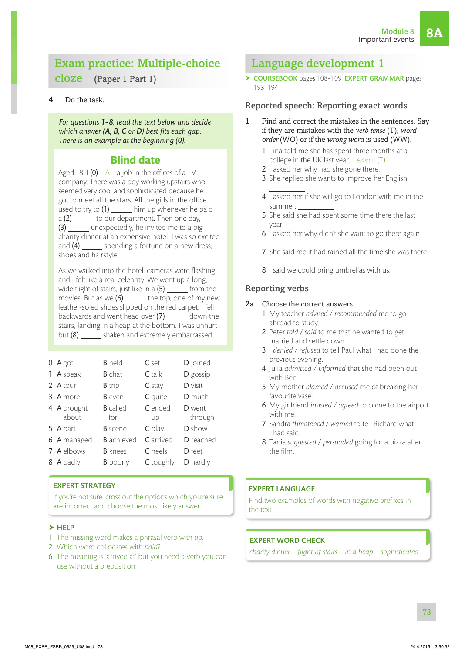#### Exam practice: Multiple-choice cloze (Paper 1 Part 1)

#### Do the task.

*For questions 1–8, read the text below and decide which answer* (A, B, C or D) best fits each gap. *There is an example at the beginning (0).*

#### **Blind date**

Aged 18,  $1(0)$   $A$  a job in the offices of a TV company. There was a boy working upstairs who seemed very cool and sophisticated because he got to meet all the stars. All the girls in the office used to try to  $(1)$  \_\_\_\_\_\_\_ him up whenever he paid  $a(2)$  \_\_\_\_\_\_\_ to our department. Then one day, (3) \_\_\_\_\_\_ unexpectedly, he invited me to a big charity dinner at an expensive hotel. I was so excited and  $(4)$  \_\_\_\_\_\_\_ spending a fortune on a new dress, shoes and hairstyle.

As we walked into the hotel, cameras were flashing and I felt like a real celebrity. We went up a long, wide flight of stairs, just like in a  $(5)$  \_\_\_\_\_\_ from the movies. But as we  $(6)$  \_\_\_\_\_\_ the top, one of my new leather-soled shoes slipped on the red carpet. I fell backwards and went head over  $(7)$  \_\_\_\_\_\_ down the stairs, landing in a heap at the bottom. I was unhurt but  $(8)$  \_\_\_\_\_\_\_ shaken and extremely embarrassed.

| $0$ A got   | <b>B</b> held     | C set     | D joined  |
|-------------|-------------------|-----------|-----------|
| 1 A speak   | <b>B</b> chat     | $C$ talk  | D gossip  |
| 2 A tour    | <b>B</b> trip     | $C$ stay  | D visit   |
| 3 A more    | <b>B</b> even     | C quite   | D much    |
| 4 A brought | <b>B</b> called   | C ended   | D went    |
|             |                   |           |           |
| about       | for               | up        | through   |
| 5 A part    | <b>B</b> scene    | C play    | D show    |
| 6 A managed | <b>B</b> achieved | C arrived | D reached |
| 7 A elbows  | <b>B</b> knees    | C heels   | D feet    |
| 8 A badly   | <b>B</b> poorly   | C toughly | D hardly  |

#### EXPERT STRATEGY

If you're not sure, cross out the options which you're sure are incorrect and choose the most likely answer.

#### $\blacktriangleright$  HELP

- 1 The missing word makes a phrasal verb with *up*.
- 2 Which word collocates with *paid*?
- 6 The meaning is 'arrived at' but you need a verb you can use without a preposition.

#### Language development 1

▶ COURSEBOOK pages 108-109, EXPERT GRAMMAR pages 193–194

#### Reported speech: Reporting exact words

- 1 Find and correct the mistakes in the sentences. Say if they are mistakes with the *verb tense* (T), *word order* (WO) or if the *wrong word* is used (WW).
	- 1 Tina told me she has spent three months at a college in the UK last year.  $s$  spent  $(T)$
	- 2 I asked her why had she gone there.
	- 3 She replied she wants to improve her English.
	- 4 I asked her if she will go to London with me in the summer.
	- 5 She said she had spent some time there the last year.
	- 6 I asked her why didn't she want to go there again.
	- 7 She said me it had rained all the time she was there.
	- 8 I said we could bring umbrellas with us.

#### Reporting verbs

#### 2a Choose the correct answers.

- 1 My teacher *advised* / *recommended* me to go abroad to study.
- 2 Peter *told* / *said* to me that he wanted to get married and settle down.
- 3 I *denied* / *refused* to tell Paul what I had done the previous evening.
- 4 Julia *admitted* / *informed* that she had been out with Ben.
- 5 My mother *blamed* / *accused* me of breaking her favourite vase.
- 6 My girlfriend *insisted* / *agreed* to come to the airport with me.
- 7 Sandra *threatened* / *warned* to tell Richard what I had said.
- 8 Tania *suggested* / *persuaded* going for a pizza after the film.

#### EXPERT LANGUAGE

Find two examples of words with negative prefixes in the text.

#### EXPERT WORD CHECK

*charity dinner flight of stairs in a heap sophisticated*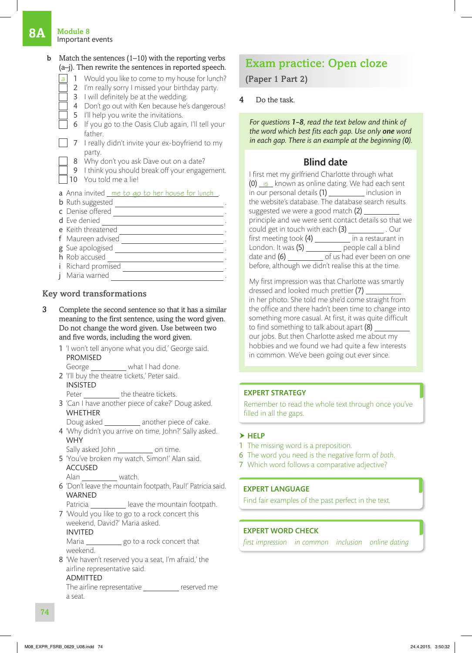#### **1A** Module 8 **Important events**

#### **b** Match the sentences  $(1-10)$  with the reporting verbs (a–j). Then rewrite the sentences in reported speech. 1 Would you like to come to my house for lunch? 2 I'm really sorry I missed your birthday party. 3 I will definitely be at the wedding. 4 Don't go out with Ken because he's dangerous! 5 I'll help you write the invitations. 6 If you go to the Oasis Club again, I'll tell your father.  $\parallel$  7 I really didn't invite your ex-boyfriend to my party. 8 Why don't you ask Dave out on a date? 9 I think you should break off your engagement. 10 You told me a lie! a Anna invited me to go to her house for lunch . **b** Ruth suggested ... c Denise offered ... d Eve denied e Keith threatened f Maureen advised . g Sue apologised and the set of the set of the set of the set of the set of the set of the set of the set of the set of the set of the set of the set of the set of the set of the set of the set of the set of the set of the h Rob accused i Richard promised **j** Maria warned

#### Key word transformations

- 3 Complete the second sentence so that it has a similar meaning to the first sentence, using the word given. Do not change the word given. Use between two and five words, including the word given.
	- 1 'I won't tell anyone what you did,' George said. PROMISED
	- George \_\_\_\_\_\_\_\_\_\_\_ what I had done.
	- 2 'I'll buy the theatre tickets,' Peter said. INSISTED
		- Peter \_\_\_\_\_\_\_\_\_\_ the theatre tickets.
	- 3 'Can I have another piece of cake?' Doug asked. WHETHER
	- Doug asked \_\_\_\_\_\_\_\_\_\_ another piece of cake. 4 'Why didn't you arrive on time, John?' Sally asked. **WHY** 
		- Sally asked John \_\_\_\_\_\_\_\_\_\_\_\_\_ on time.
	- 5 'You've broken my watch, Simon!' Alan said. ACCUSED
		- Alan watch.
	- 6 'Don't leave the mountain footpath, Paul!' Patricia said. WARNED
	- Patricia \_\_\_\_\_\_\_\_\_\_ leave the mountain footpath. 7 'Would you like to go to a rock concert this
	- weekend, David?' Maria asked. INVITED
	- Maria \_\_\_\_\_\_\_\_\_\_\_ go to a rock concert that weekend.
	- 8 'We haven't reserved you a seat, I'm afraid,' the airline representative said.

#### ADMITTED

The airline representative \_\_\_\_\_\_\_\_\_\_ reserved me a seat.

### Exam practice: Open cloze

(Paper 1 Part 2)

Do the task.

*For questions 1–8, read the text below and think of the word which best fits each gap. Use only one word in each gap. There is an example at the beginning (0).*

#### Blind date

| I first met my girlfriend Charlotte through what<br>(0) is known as online dating. We had each sent |  |
|-----------------------------------------------------------------------------------------------------|--|
| in our personal details (1) ___________ inclusion in                                                |  |
| the website's database. The database search results                                                 |  |
| suggested we were a good match (2) ____                                                             |  |
| principle and we were sent contact details so that we                                               |  |
| could get in touch with each (3) Cur                                                                |  |
| first meeting took $(4)$ in a restaurant in                                                         |  |
| London. It was (5) ___________ people call a blind                                                  |  |
| date and (6) _____________ of us had ever been on one                                               |  |
| before, although we didn't realise this at the time.                                                |  |

My first impression was that Charlotte was smartly dressed and looked much prettier (7) in her photo. She told me she'd come straight from the office and there hadn't been time to change into something more casual. At first, it was quite difficult to find something to talk about apart (8) our jobs. But then Charlotte asked me about my hobbies and we found we had quite a few interests in common. We've been going out ever since.

#### EXPERT STRATEGY

Remember to read the whole text through once you've filled in all the gaps.

#### $\blacktriangleright$  HELP

- 1 The missing word is a preposition.
- 6 The word you need is the negative form of *both*.
- 7 Which word follows a comparative adjective?

#### EXPERT LANGUAGE

Find fair examples of the past perfect in the text.

#### EXPERT WORD CHECK

*first impression in common inclusion online dating*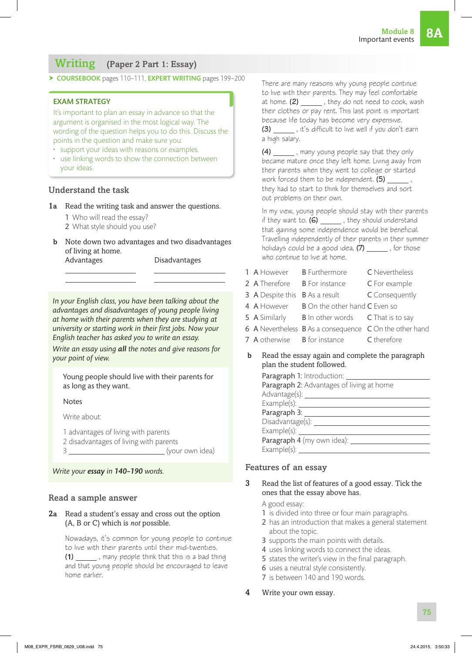#### Writing (Paper 2 Part 1: Essay)

▶ COURSEBOOK pages 110-111, EXPERT WRITING pages 199-200

#### EXAM STRATEGY

It's important to plan an essay in advance so that the argument is organised in the most logical way. The wording of the question helps you to do this. Discuss the points in the question and make sure you:

- support your ideas with reasons or examples.
- use linking words to show the connection between your ideas.

#### Understand the task

- 1a Read the writing task and answer the questions.
	- 1 Who will read the essay?
	- 2 What style should you use?
- b Note down two advantages and two disadvantages of living at home.

Advantages Disadvantages

*In your English class, you have been talking about the advantages and disadvantages of young people living at home with their parents when they are studying at university or starting work in their first jobs. Now your English teacher has asked you to write an essay.*

*Write an essay using all the notes and give reasons for your point of view.*

Young people should live with their parents for as long as they want.

**Notes** 

Write about:

1 advantages of living with parents

2 disadvantages of living with parents

3 (your own idea)

*Write your essay in 140–190 words.*

#### Read a sample answer

#### 2a Read a student's essay and cross out the option (A, B or C) which is *not* possible.

Nowadays, it's common for young people to continue to live with their parents until their mid-twenties. **(1)** , many people think that this is a bad thing and that young people should be encouraged to leave home earlier.

There are many reasons why young people continue to live with their parents. They may feel comfortable at home. **(2)** \_\_\_\_\_\_\_, they do not need to cook, wash their clothes or pay rent. This last point is important because life today has become very expensive. **(3)** \_\_\_\_\_\_, it's difficult to live well if you don't earn

**(4)** , many young people say that they only became mature once they left home. Living away from their parents when they went to college or started work forced them to be independent. **(5)** they had to start to think for themselves and sort out problems on their own.

a high salary.

In my view, young people should stay with their parents if they want to. **(6)** \_\_\_\_\_\_\_, they should understand that gaining some independence would be beneficial. Travelling independently of their parents in their summer holidays could be a good idea, (7) \_\_\_\_\_\_, for those who continue to live at home.

| 1 A However B Furthermore    |                                                                                                                                                                                                                                              | C Nevertheless |
|------------------------------|----------------------------------------------------------------------------------------------------------------------------------------------------------------------------------------------------------------------------------------------|----------------|
| 2 A Therefore B For instance |                                                                                                                                                                                                                                              | C For example  |
|                              | <b>3</b> A Despite this <b>B</b> As a result                                                                                                                                                                                                 | C Consequently |
|                              | 4 A However B On the other hand C Even so                                                                                                                                                                                                    |                |
|                              | 5 A Similarly B In other words C That is to say                                                                                                                                                                                              |                |
|                              | 6 A Nevertheless B As a consequence C On the other hand                                                                                                                                                                                      |                |
|                              | 7 A otherwise B for instance C therefore                                                                                                                                                                                                     |                |
|                              | $\mathbf{A} = \mathbf{A} \mathbf{A}$ and the contract of the contract of the contract of the contract of the contract of the contract of the contract of the contract of the contract of the contract of the contract of the contract of the |                |

b Read the essay again and complete the paragraph plan the student followed.

| Paragraph 1: Introduction:                |
|-------------------------------------------|
| Paragraph 2: Advantages of living at home |
| Advantage(s):                             |
|                                           |
| Paragraph 3:                              |
| Disadvantage(s):                          |
| Example(s):                               |
| Paragraph 4 (my own idea):                |
| Example $(s)$ :                           |

#### Features of an essay

3 Read the list of features of a good essay. Tick the ones that the essay above has.

#### A good essay:

- 1 is divided into three or four main paragraphs.
- 2 has an introduction that makes a general statement about the topic.
- 3 supports the main points with details.
- 4 uses linking words to connect the ideas.
- 5 states the writer's view in the final paragraph.
- 6 uses a neutral style consistently.
- 7 is between 140 and 190 words.
- 4 Write your own essay.

75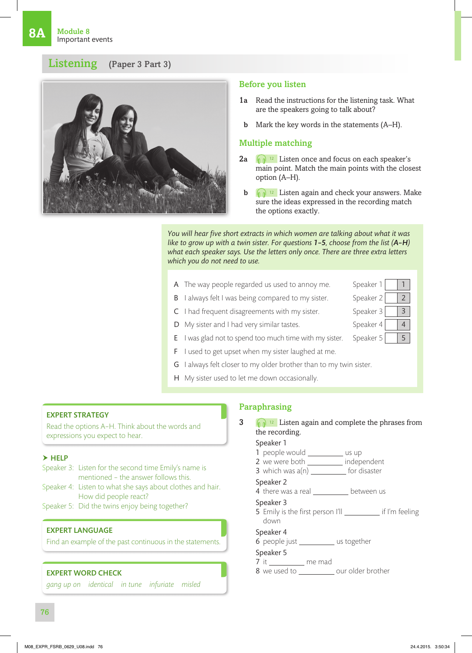#### Listening (Paper 3 Part 3)



#### Before you listen

- 1a Read the instructions for the listening task. What are the speakers going to talk about?
- b Mark the key words in the statements (A–H).

#### Multiple matching

- 2a  $\int_{\mathbb{R}}$  <sup>12</sup> Listen once and focus on each speaker's main point. Match the main points with the closest option (A–H).
- $\mathbf{b}$   $\mathbf{a}$   $\mathbf{a}$   $\mathbf{b}$   $\mathbf{b}$  Listen again and check your answers. Make sure the ideas expressed in the recording match the options exactly.

*You will hear five short extracts in which women are talking about what it was like to grow up with a twin sister. For questions 1–5, choose from the list (A–H) what each speaker says. Use the letters only once. There are three extra letters which you do not need to use.*

- A The way people regarded us used to annoy me. Speaker  $1 \mid 1 \mid$
- **B** I always felt I was being compared to my sister. Speaker  $2 \mid 2$
- C I had frequent disagreements with my sister. Speaker  $3 \mid 3$
- D My sister and I had very similar tastes. Speaker 4 4



- F I used to get upset when my sister laughed at me.
- G I always felt closer to my older brother than to my twin sister.
- H My sister used to let me down occasionally.

#### EXPERT STRATEGY

Read the options A–H. Think about the words and expressions you expect to hear.

#### $\blacktriangleright$  HELP

- Speaker 3: Listen for the second time Emily's name is mentioned – the answer follows this. Speaker 4: Listen to what she says about clothes and hair. How did people react?
- Speaker 5: Did the twins enjoy being together?

#### EXPERT LANGUAGE

Find an example of the past continuous in the statements.

#### EXPERT WORD CHECK

*gang up on identical in tune infuriate misled*

#### Paraphrasing

- $3 \quad \boxed{12}$  Listen again and complete the phrases from the recording. Speaker 1 1 people would \_\_\_\_\_\_\_\_\_ us up 2 we were both \_\_\_\_\_\_\_\_\_\_ independent 3 which was  $a(n)$  \_\_\_\_\_\_\_\_\_\_\_\_ for disaster Speaker 2 4 there was a real \_\_\_\_\_\_\_\_\_\_\_ between us Speaker 3 5 Emily is the first person I'll if I'm feeling down Speaker 4
	- 6 people just \_\_\_\_\_\_\_\_\_\_ us together
	- Speaker 5
	- $7$  it \_\_\_\_\_\_\_\_\_\_\_ me mad
	- 8 we used to \_\_\_\_\_\_\_\_\_\_\_ our older brother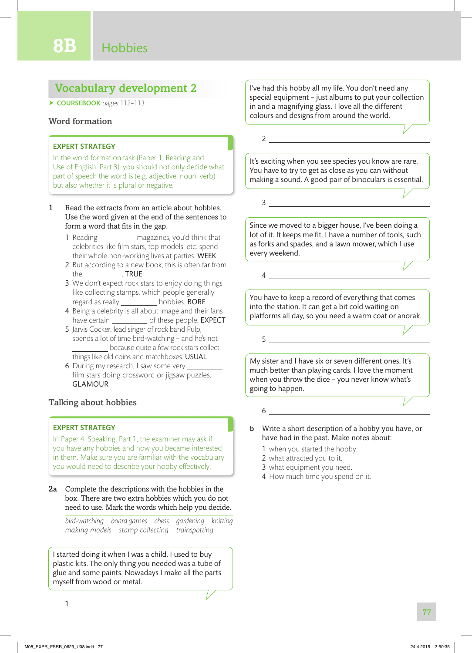#### Vocabulary development 2

▶ COURSEBOOK pages 112-113

#### Word formation

#### EXPERT STRATEGY

In the word formation task (Paper 1, Reading and Use of English, Part 3), you should not only decide what part of speech the word is (e.g. adjective, noun, verb) but also whether it is plural or negative.

- 1 Read the extracts from an article about hobbies. Use the word given at the end of the sentences to form a word that fits in the gap.
	- 1 Reading \_\_\_\_\_\_\_\_\_\_\_ magazines, you'd think that celebrities like film stars, top models, etc. spend their whole non-working lives at parties. WEEK
	- 2 But according to a new book, this is often far from the . TRUE
	- 3 We don't expect rock stars to enjoy doing things like collecting stamps, which people generally regard as really \_\_\_\_\_\_\_\_\_\_ hobbies. BORE
	- 4 Being a celebrity is all about image and their fans have certain \_\_\_\_\_\_\_\_\_\_\_\_\_ of these people. EXPECT
	- 5 Jarvis Cocker, lead singer of rock band Pulp, spends a lot of time bird-watching – and he's not because quite a few rock stars collect things like old coins and matchboxes. USUAL
	- 6 During my research, I saw some very film stars doing crossword or jigsaw puzzles. GLAMOUR

#### Talking about hobbies

#### EXPERT STRATEGY

In Paper 4, Speaking, Part 1, the examiner may ask if you have any hobbies and how you became interested in them. Make sure you are familiar with the vocabulary you would need to describe your hobby effectively.

2a Complete the descriptions with the hobbies in the box. There are two extra hobbies which you do not need to use. Mark the words which help you decide.

*bird-watching board games chess gardening knitting making models stamp collecting trainspotting*

I started doing it when I was a child. I used to buy plastic kits. The only thing you needed was a tube of glue and some paints. Nowadays I make all the parts myself from wood or metal.

1

I've had this hobby all my life. You don't need any special equipment – just albums to put your collection in and a magnifying glass. I love all the different colours and designs from around the world.

2

4

It's exciting when you see species you know are rare. You have to try to get as close as you can without making a sound. A good pair of binoculars is essential.

Since we moved to a bigger house, I've been doing a lot of it. It keeps me fit. I have a number of tools, such as forks and spades, and a lawn mower, which I use every weekend.

3

You have to keep a record of everything that comes into the station. It can get a bit cold waiting on platforms all day, so you need a warm coat or anorak.

My sister and I have six or seven different ones. It's much better than playing cards. I love the moment when you throw the dice – you never know what's going to happen.

- b Write a short description of a hobby you have, or have had in the past. Make notes about:
	- 1 when you started the hobby.
	- 2 what attracted you to it.

6

5

- 3 what equipment you need.
- 4 How much time you spend on it.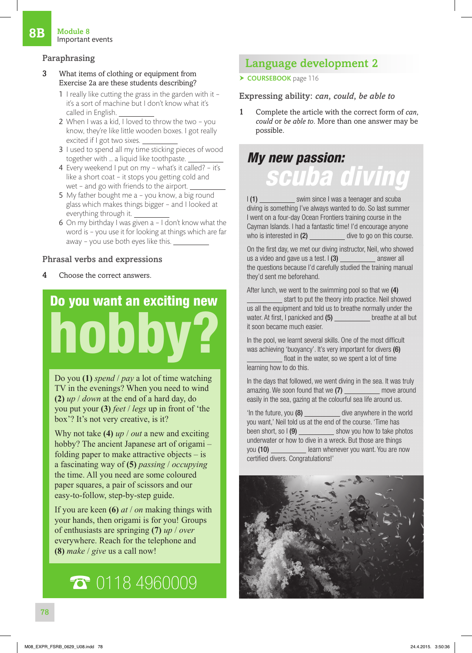#### Paraphrasing

- 3 What items of clothing or equipment from Exercise 2a are these students describing?
	- 1 I really like cutting the grass in the garden with it it's a sort of machine but I don't know what it's called in English.
	- 2 When I was a kid, I loved to throw the two you know, they're like little wooden boxes. I got really excited if I got two sixes.
	- 3 I used to spend all my time sticking pieces of wood together with … a liquid like toothpaste.
	- 4 Every weekend I put on my what's it called? it's like a short coat – it stops you getting cold and wet – and go with friends to the airport.
	- 5 My father bought me a you know, a big round glass which makes things bigger – and I looked at everything through it.
	- 6 On my birthday I was given a I don't know what the word is – you use it for looking at things which are far away – you use both eyes like this.

#### Phrasal verbs and expressions

4 Choose the correct answers.

## Do you want an exciting new hobby?

Do you **(1)** *spend* / *pay* a lot of time watching TV in the evenings? When you need to wind **(2)** *up* / *down* at the end of a hard day, do you put your **(3)** *feet* / *legs* up in front of 'the box'? It's not very creative, is it?

Why not take **(4)** *up* / *out* a new and exciting hobby? The ancient Japanese art of origami – folding paper to make attractive objects  $-$  is a fascinating way of **(5)** *passing* / *occupying* the time. All you need are some coloured paper squares, a pair of scissors and our easy-to-follow, step-by-step guide.

If you are keen **(6)** *at* / *on* making things with your hands, then origami is for you! Groups of enthusiasts are springing **(7)** *up* / *over* everywhere. Reach for the telephone and **(8)** *make* / *give* us a call now!

## ☎ 0118 4960009

#### Language development 2

▶ COURSEBOOK page 116

Expressing ability: *can*, *could*, *be able to*

1 Complete the article with the correct form of *can*, *could* or *be able to*. More than one answer may be possible.

## *My new passion: scuba diving*

I (1) swim since I was a teenager and scuba diving is something I've always wanted to do. So last summer I went on a four-day Ocean Frontiers training course in the Cayman Islands. I had a fantastic time! I'd encourage anyone who is interested in  $(2)$  dive to go on this course.

On the first day, we met our diving instructor, Neil, who showed us a video and gave us a test.  $\binom{3}{2}$  answer all the questions because I'd carefully studied the training manual they'd sent me beforehand.

After lunch, we went to the swimming pool so that we (4) start to put the theory into practice. Neil showed us all the equipment and told us to breathe normally under the water. At first, I panicked and (5) breathe at all but it soon became much easier.

In the pool, we learnt several skills. One of the most difficult was achieving 'buoyancy'. It's very important for divers (6)

float in the water, so we spent a lot of time learning how to do this.

In the days that followed, we went diving in the sea. It was truly amazing. We soon found that we (7) move around easily in the sea, gazing at the colourful sea life around us.

'In the future, you (8) dive anywhere in the world you want,' Neil told us at the end of the course. 'Time has been short, so  $I(9)$  \_\_\_\_\_\_\_\_\_\_\_\_\_\_\_\_ show you how to take photos underwater or how to dive in a wreck. But those are things you (10) learn whenever you want. You are now certified divers. Congratulations!'

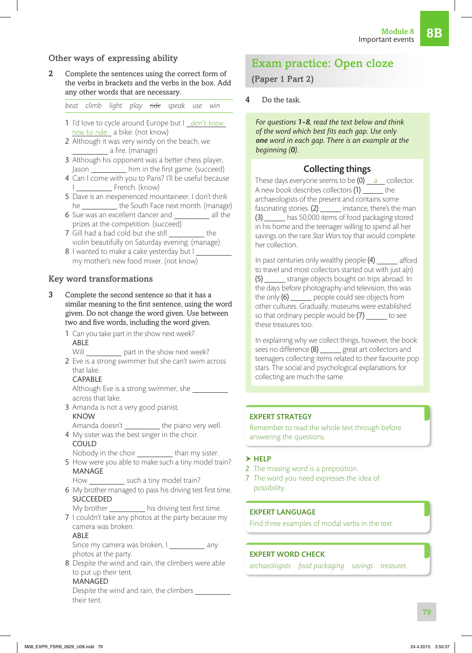#### Other ways of expressing ability

2 Complete the sentences using the correct form of the verbs in brackets and the verbs in the box. Add any other words that are necessary.

*beat climb light play ride speak use win*

- 1 I'd love to cycle around Europe but I don't know how to ride a bike. (not know)
- 2 Although it was very windy on the beach, we <u>\_\_\_\_\_\_\_</u> a fire. (manage)
- 3 Although his opponent was a better chess player, Jason \_\_\_\_\_\_\_\_\_\_\_ him in the first game. (succeed)
- 4 Can I come with you to Paris? I'll be useful because I \_\_\_\_\_\_\_\_\_\_\_\_\_ French. (know)
- 5 Dave is an inexperienced mountaineer. I don't think he \_\_\_\_\_\_\_\_\_\_\_ the South Face next month. (manage)
- 6 Sue was an excellent dancer and \_\_\_\_\_\_\_\_\_ all the prizes at the competition. (succeed)
- 7 Gill had a bad cold but she still the violin beautifully on Saturday evening. (manage)
- 8 I wanted to make a cake yesterday but I my mother's new food mixer. (not know)

#### Key word transformations

- 3 Complete the second sentence so that it has a similar meaning to the first sentence, using the word given. Do not change the word given. Use between two and five words, including the word given.
	- 1 Can you take part in the show next week? ABLE

Will \_\_\_\_\_\_\_\_\_\_\_ part in the show next week?

2 Eve is a strong swimmer but she can't swim across that lake.

#### CAPABLE

Although Eve is a strong swimmer, she across that lake.

- 3 Amanda is not a very good pianist.
- KNOW Amanda doesn't \_\_\_\_\_\_\_\_\_\_\_ the piano very well.
- 4 My sister was the best singer in the choir. COULD
- Nobody in the choir \_\_\_\_\_\_\_\_\_\_\_\_\_ than my sister.
- 5 How were you able to make such a tiny model train? MANAGE

How such a tiny model train?

- 6 My brother managed to pass his driving test first time. SUCCEEDED
- My brother \_\_\_\_\_\_\_\_\_\_\_ his driving test first time.
- 7 I couldn't take any photos at the party because my camera was broken.

#### ABLE

Since my camera was broken, I \_\_\_\_\_\_\_\_\_\_\_ any photos at the party.

8 Despite the wind and rain, the climbers were able to put up their tent.

#### MANAGED

Despite the wind and rain, the climbers their tent.

#### Exam practice: Open cloze

(Paper 1 Part 2)

Do the task.

*For questions 1–8, read the text below and think*  of the word which best fits each gap. Use only *one word in each gap. There is an example at the beginning (0).*

#### Collecting things

These days everyone seems to be  $(0)$   $a$  collector. A new book describes collectors (1) the archaeologists of the present and contains some fascinating stories.  $(2)$  \_\_\_\_\_\_ instance, there's the man (3) has 50,000 items of food packaging stored in his home and the teenager willing to spend all her savings on the rare *Star Wars* toy that would complete her collection.

In past centuries only wealthy people  $(4)$  \_\_\_\_\_\_ afford to travel and most collectors started out with just a(n) (5) strange objects bought on trips abroad. In the days before photography and television, this was the only  $(6)$  <u>people</u> could see objects from other cultures. Gradually, museums were established so that ordinary people would be  $(7)$  \_\_\_\_\_ to see these treasures too.

In explaining why we collect things, however, the book sees no difference (8) \_\_\_\_\_\_ great art collectors and teenagers collecting items related to their favourite pop stars. The social and psychological explanations for collecting are much the same.

#### EXPERT STRATEGY

Remember to read the whole text through before answering the questions.

#### $\blacktriangleright$  HELP

- 2 The missing word is a preposition.
- 7 The word you need expresses the idea of possibility.

#### EXPERT LANGUAGE

Find three examples of modal verbs in the text.

#### EXPERT WORD CHECK

*archaeologists food packaging savings treasures*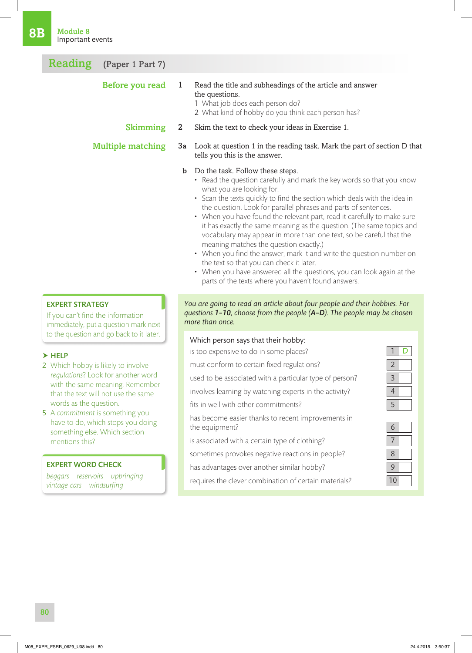#### Reading (Paper 1 Part 7)

| Before you read          | 1            | Read the title and subheadings of the article and answer<br>the questions.<br>1 What job does each person do?<br>2 What kind of hobby do you think each person has? |
|--------------------------|--------------|---------------------------------------------------------------------------------------------------------------------------------------------------------------------|
| <b>Skimming</b>          | $\mathbf{2}$ | Skim the text to check your ideas in Exercise 1.                                                                                                                    |
| <b>Multiple matching</b> |              | <b>3a</b> Look at question 1 in the reading task. Mark the part of section D that<br>tells you this is the answer.                                                  |
|                          | $\mathbf b$  | Do the task. Follow these steps.<br>• Read the question carefully and mark the key words so that you know<br>what you are looking for.                              |

- Scan the texts quickly to find the section which deals with the idea in the question. Look for parallel phrases and parts of sentences.
- When you have found the relevant part, read it carefully to make sure it has exactly the same meaning as the question. (The same topics and vocabulary may appear in more than one text, so be careful that the meaning matches the question exactly.)
- When you find the answer, mark it and write the question number on the text so that you can check it later.
- When you have answered all the questions, you can look again at the parts of the texts where you haven't found answers.

#### EXPERT STRATEGY

If you can't find the information immediately, put a question mark next to the question and go back to it later.

#### $\blacktriangleright$  HELP

- 2 Which hobby is likely to involve *regulations*? Look for another word with the same meaning. Remember that the text will not use the same words as the question.
- 5 A *commitment* is something you have to do, which stops you doing something else. Which section mentions this?

#### EXPERT WORD CHECK

*beggars reservoirs upbringing vintage cars windsurfing*

#### *You are going to read an article about four people and their hobbies. For questions 1–10, choose from the people (A–D). The people may be chosen more than once.*

#### Which person says that their hobby:

is too expensive to do in some places? **1 D** 

must conform to certain fixed regulations? 2

used to be associated with a particular type of person?  $\vert$  3

involves learning by watching experts in the activity? 4

fits in well with other commitments?

has become easier thanks to recent improvements in the equipment? 6

is associated with a certain type of clothing?

sometimes provokes negative reactions in people?

- has advantages over another similar hobby?
- requires the clever combination of certain materials?

| 6 |  |
|---|--|
|   |  |
| 8 |  |
|   |  |
|   |  |